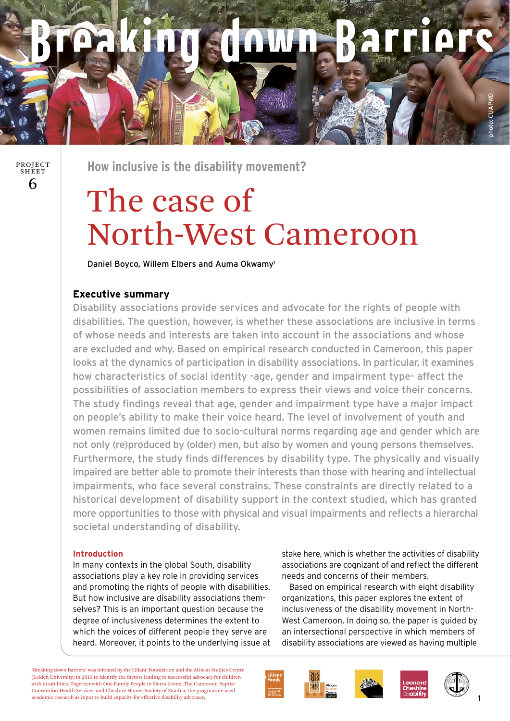# **ALLIOLS CARLINAR**

6 PROJECT SHEET

**How inclusive is the disability movement?** 

# The case of North-West Cameroon

Daniel Boyco, Willem Elbers and Auma Okwamy1

## **Executive summary**

Disability associations provide services and advocate for the rights of people with disabilities. The question, however, is whether these associations are inclusive in terms of whose needs and interests are taken into account in the associations and whose are excluded and why. Based on empirical research conducted in Cameroon, this paper looks at the dynamics of participation in disability associations. In particular, it examines how characteristics of social identity -age, gender and impairment type- affect the possibilities of association members to express their views and voice their concerns. The study findings reveal that age, gender and impairment type have a major impact on people's ability to make their voice heard. The level of involvement of youth and women remains limited due to socio-cultural norms regarding age and gender which are not only (re)produced by (older) men, but also by women and young persons themselves. Furthermore, the study finds differences by disability type. The physically and visually impaired are better able to promote their interests than those with hearing and intellectual impairments, who face several constrains. These constraints are directly related to a historical development of disability support in the context studied, which has granted more opportunities to those with physical and visual impairments and reflects a hierarchal societal understanding of disability.

### **Introduction**

In many contexts in the global South, disability associations play a key role in providing services and promoting the rights of people with disabilities. But how inclusive are disability associations themselves? This is an important question because the degree of inclusiveness determines the extent to which the voices of different people they serve are heard. Moreover, it points to the underlying issue at

stake here, which is whether the activities of disability associations are cognizant of and reflect the different needs and concerns of their members.

 Based on empirical research with eight disability organizations, this paper explores the extent of inclusiveness of the disability movement in North-West Cameroon. In doing so, the paper is guided by an intersectional perspective in which members of disability associations are viewed as having multiple

'Breaking down Barriers' was initiated by the Liliane Foundation and the African Studies Centre (Leiden University) in 2015 to identify the factors leading to successful advocacy for children with disabilities. Together with One Family People in Sierra Leone, The Cameroon Baptist Convention Health Services and Cheshire Homes Society of Zambia, the programme used academic research as input to build capacity for effective disability advocacy.







photo: CUAPWD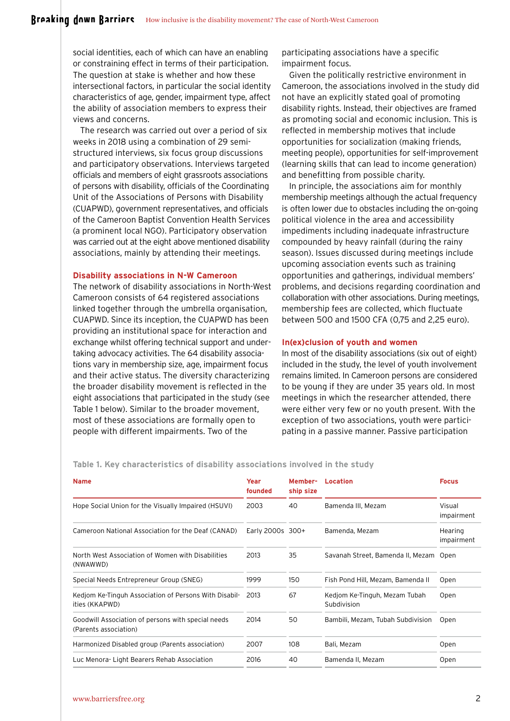social identities, each of which can have an enabling or constraining effect in terms of their participation. The question at stake is whether and how these intersectional factors, in particular the social identity characteristics of age, gender, impairment type, affect the ability of association members to express their views and concerns.

The research was carried out over a period of six weeks in 2018 using a combination of 29 semistructured interviews, six focus group discussions and participatory observations. Interviews targeted officials and members of eight grassroots associations of persons with disability, officials of the Coordinating Unit of the Associations of Persons with Disability (CUAPWD), government representatives, and officials of the Cameroon Baptist Convention Health Services (a prominent local NGO). Participatory observation was carried out at the eight above mentioned disability associations, mainly by attending their meetings.

#### **Disability associations in N-W Cameroon**

The network of disability associations in North-West Cameroon consists of 64 registered associations linked together through the umbrella organisation, CUAPWD. Since its inception, the CUAPWD has been providing an institutional space for interaction and exchange whilst offering technical support and undertaking advocacy activities. The 64 disability associations vary in membership size, age, impairment focus and their active status. The diversity characterizing the broader disability movement is reflected in the eight associations that participated in the study (see Table 1 below). Similar to the broader movement, most of these associations are formally open to people with different impairments. Two of the

participating associations have a specific impairment focus.

Given the politically restrictive environment in Cameroon, the associations involved in the study did not have an explicitly stated goal of promoting disability rights. Instead, their objectives are framed as promoting social and economic inclusion. This is reflected in membership motives that include opportunities for socialization (making friends, meeting people), opportunities for self-improvement (learning skills that can lead to income generation) and benefitting from possible charity.

In principle, the associations aim for monthly membership meetings although the actual frequency is often lower due to obstacles including the on-going political violence in the area and accessibility impediments including inadequate infrastructure compounded by heavy rainfall (during the rainy season). Issues discussed during meetings include upcoming association events such as training opportunities and gatherings, individual members' problems, and decisions regarding coordination and collaboration with other associations. During meetings, membership fees are collected, which fluctuate between 500 and 1500 CFA (0,75 and 2,25 euro).

#### **In(ex)clusion of youth and women**

In most of the disability associations (six out of eight) included in the study, the level of youth involvement remains limited. In Cameroon persons are considered to be young if they are under 35 years old. In most meetings in which the researcher attended, there were either very few or no youth present. With the exception of two associations, youth were participating in a passive manner. Passive participation

**Table 1. Key characteristics of disability associations involved in the study**

| <b>Name</b>                                                                 | Year<br>founded  | Member-<br>ship size | Location                                     | <b>Focus</b>          |
|-----------------------------------------------------------------------------|------------------|----------------------|----------------------------------------------|-----------------------|
| Hope Social Union for the Visually Impaired (HSUVI)                         | 2003             | 40                   | Bamenda III, Mezam                           | Visual<br>impairment  |
| Cameroon National Association for the Deaf (CANAD)                          | Early 2000s 300+ |                      | Bamenda, Mezam                               | Hearing<br>impairment |
| North West Association of Women with Disabilities<br>(NWAWWD)               | 2013             | 35                   | Savanah Street, Bamenda II, Mezam Open       |                       |
| Special Needs Entrepreneur Group (SNEG)                                     | 1999             | 150                  | Fish Pond Hill, Mezam, Bamenda II            | Open                  |
| Kedjom Ke-Tinguh Association of Persons With Disabil-<br>ities (KKAPWD)     | 2013             | 67                   | Kedjom Ke-Tinguh, Mezam Tubah<br>Subdivision | Open                  |
| Goodwill Association of persons with special needs<br>(Parents association) | 2014             | 50                   | Bambili, Mezam, Tubah Subdivision            | Open                  |
| Harmonized Disabled group (Parents association)                             | 2007             | 108                  | Bali, Mezam                                  | Open                  |
| Luc Menora-Light Bearers Rehab Association                                  | 2016             | 40                   | Bamenda II, Mezam                            | Open                  |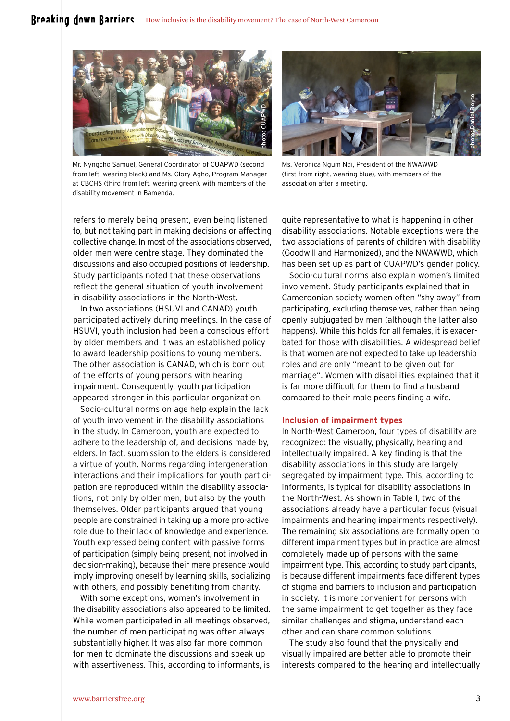

Mr. Nyngcho Samuel, General Coordinator of CUAPWD (second from left, wearing black) and Ms. Glory Agho, Program Manager at CBCHS (third from left, wearing green), with members of the disability movement in Bamenda.



Ms. Veronica Ngum Ndi, President of the NWAWWD (first from right, wearing blue), with members of the association after a meeting.

refers to merely being present, even being listened to, but not taking part in making decisions or affecting collective change. In most of the associations observed, older men were centre stage. They dominated the discussions and also occupied positions of leadership. Study participants noted that these observations reflect the general situation of youth involvement in disability associations in the North-West.

In two associations (HSUVI and CANAD) youth participated actively during meetings. In the case of HSUVI, youth inclusion had been a conscious effort by older members and it was an established policy to award leadership positions to young members. The other association is CANAD, which is born out of the efforts of young persons with hearing impairment. Consequently, youth participation appeared stronger in this particular organization.

Socio-cultural norms on age help explain the lack of youth involvement in the disability associations in the study. In Cameroon, youth are expected to adhere to the leadership of, and decisions made by, elders. In fact, submission to the elders is considered a virtue of youth. Norms regarding intergeneration interactions and their implications for youth participation are reproduced within the disability associations, not only by older men, but also by the youth themselves. Older participants argued that young people are constrained in taking up a more pro-active role due to their lack of knowledge and experience. Youth expressed being content with passive forms of participation (simply being present, not involved in decision-making), because their mere presence would imply improving oneself by learning skills, socializing with others, and possibly benefiting from charity.

With some exceptions, women's involvement in the disability associations also appeared to be limited. While women participated in all meetings observed, the number of men participating was often always substantially higher. It was also far more common for men to dominate the discussions and speak up with assertiveness. This, according to informants, is

quite representative to what is happening in other disability associations. Notable exceptions were the two associations of parents of children with disability (Goodwill and Harmonized), and the NWAWWD, which has been set up as part of CUAPWD's gender policy.

Socio-cultural norms also explain women's limited involvement. Study participants explained that in Cameroonian society women often "shy away" from participating, excluding themselves, rather than being openly subjugated by men (although the latter also happens). While this holds for all females, it is exacerbated for those with disabilities. A widespread belief is that women are not expected to take up leadership roles and are only "meant to be given out for marriage". Women with disabilities explained that it is far more difficult for them to find a husband compared to their male peers finding a wife.

#### **Inclusion of impairment types**

In North-West Cameroon, four types of disability are recognized: the visually, physically, hearing and intellectually impaired. A key finding is that the disability associations in this study are largely segregated by impairment type. This, according to informants, is typical for disability associations in the North-West. As shown in Table 1, two of the associations already have a particular focus (visual impairments and hearing impairments respectively). The remaining six associations are formally open to different impairment types but in practice are almost completely made up of persons with the same impairment type. This, according to study participants, is because different impairments face different types of stigma and barriers to inclusion and participation in society. It is more convenient for persons with the same impairment to get together as they face similar challenges and stigma, understand each other and can share common solutions.

The study also found that the physically and visually impaired are better able to promote their interests compared to the hearing and intellectually